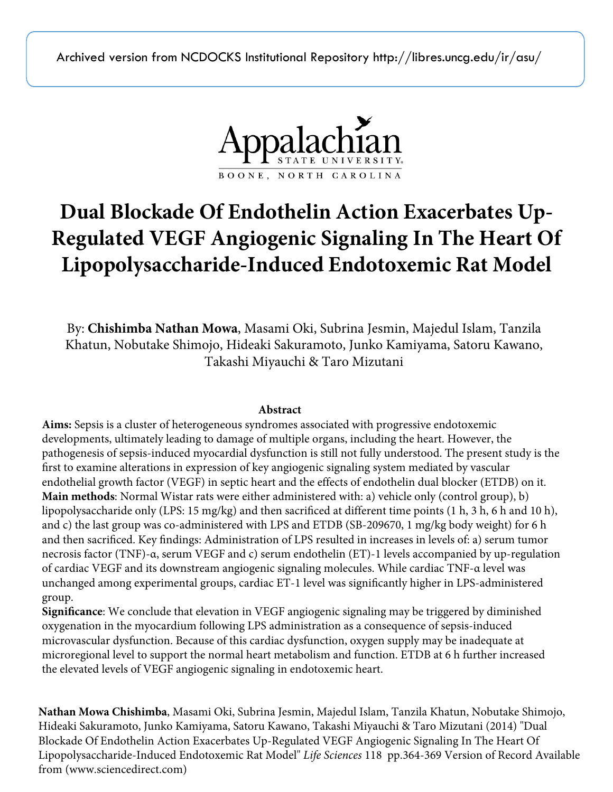Archived version from NCDOCKS Institutional Repository http://libres.uncg.edu/ir/asu/



# **Dual Blockade Of Endothelin Action Exacerbates Up-Regulated VEGF Angiogenic Signaling In The Heart Of Lipopolysaccharide-Induced Endotoxemic Rat Model**

By: **Chishimba Nathan Mowa**, Masami Oki, Subrina Jesmin, Majedul Islam, Tanzila Khatun, Nobutake Shimojo, Hideaki Sakuramoto, Junko Kamiyama, Satoru Kawano, Takashi Miyauchi & Taro Mizutani

## **Abstract**

**Aims:** Sepsis is a cluster of heterogeneous syndromes associated with progressive endotoxemic developments, ultimately leading to damage of multiple organs, including the heart. However, the pathogenesis of sepsis-induced myocardial dysfunction is still not fully understood. The present study is the first to examine alterations in expression of key angiogenic signaling system mediated by vascular endothelial growth factor (VEGF) in septic heart and the effects of endothelin dual blocker (ETDB) on it. **Main methods**: Normal Wistar rats were either administered with: a) vehicle only (control group), b) lipopolysaccharide only (LPS: 15 mg/kg) and then sacrificed at different time points (1 h, 3 h, 6 h and 10 h), and c) the last group was co-administered with LPS and ETDB (SB-209670, 1 mg/kg body weight) for 6 h and then sacrificed. Key findings: Administration of LPS resulted in increases in levels of: a) serum tumor necrosis factor (TNF)-α, serum VEGF and c) serum endothelin (ET)-1 levels accompanied by up-regulation of cardiac VEGF and its downstream angiogenic signaling molecules. While cardiac TNF-α level was unchanged among experimental groups, cardiac ET-1 level was significantly higher in LPS-administered group.

**Significance**: We conclude that elevation in VEGF angiogenic signaling may be triggered by diminished oxygenation in the myocardium following LPS administration as a consequence of sepsis-induced microvascular dysfunction. Because of this cardiac dysfunction, oxygen supply may be inadequate at microregional level to support the normal heart metabolism and function. ETDB at 6 h further increased the elevated levels of VEGF angiogenic signaling in endotoxemic heart.

**Nathan Mowa Chishimba**, Masami Oki, Subrina Jesmin, Majedul Islam, Tanzila Khatun, Nobutake Shimojo, Hideaki Sakuramoto, Junko Kamiyama, Satoru Kawano, Takashi Miyauchi & Taro Mizutani (2014) "Dual Blockade Of Endothelin Action Exacerbates Up-Regulated VEGF Angiogenic Signaling In The Heart Of Lipopolysaccharide-Induced Endotoxemic Rat Model" *Life Sciences* 118 pp.364-369 Version of Record Available from (www.sciencedirect.com)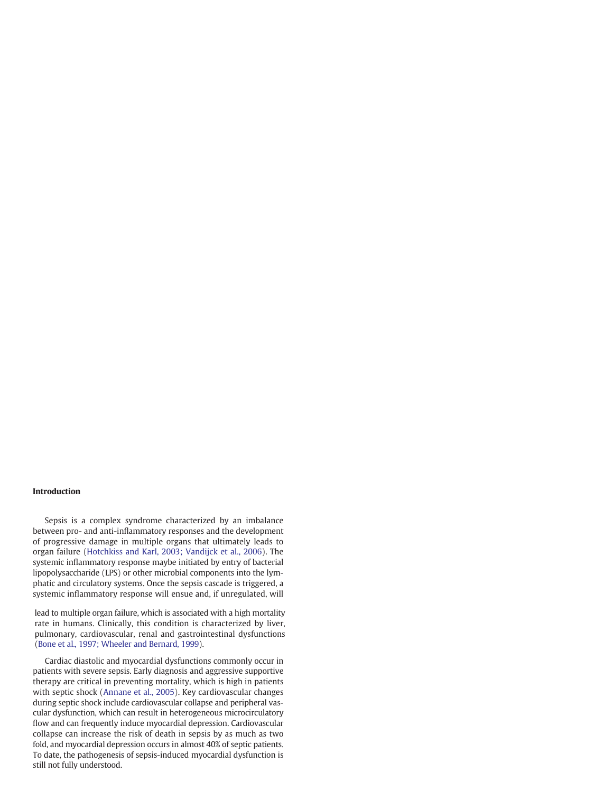## Introduction

Sepsis is a complex syndrome characterized by an imbalance between pro- and anti-inflammatory responses and the development of progressive damage in multiple organs that ultimately leads to organ failure (Hotchkiss and Karl, 2003; Vandijck et al., 2006). The systemic inflammatory response maybe initiated by entry of bacterial lipopolysaccharide (LPS) or other microbial components into the lymphatic and circulatory systems. Once the sepsis cascade is triggered, a systemic inflammatory response will ensue and, if unregulated, will

lead to multiple organ failure, which is [associated](#page-6-0) with a high mortality rate in humans. Clinically, this condition is characterized by liver, pulmonary, cardiovascular, renal and gastrointestinal dysfunctions (Bone et al., 1997; Wheeler and Bernard, 1999).

Cardiac diastolic and myocardial dysfunctions commonly occur in patients with severe sepsis. Early diagnosis and aggressive supportive therapy are critical in preventing mortality, which is high in patients with septic shock (Annane et al., 2005). Key cardiovascular changes during septic shock include cardiovascular collapse and peripheral vascular dysfunction, which can result in heterogeneous microcirculatory flow and can frequently induce myocardial depression. Cardiovascular collapse can [increase](http://dx.doi.org/10.1016/j.lfs.2014.02.008) the risk of death in sepsis by as much as two fold, and myocardial depression occurs in almost 40% of septic patients. To date, the pathogenesis of sepsis-induced myocardial dysfunction is still not fully understood.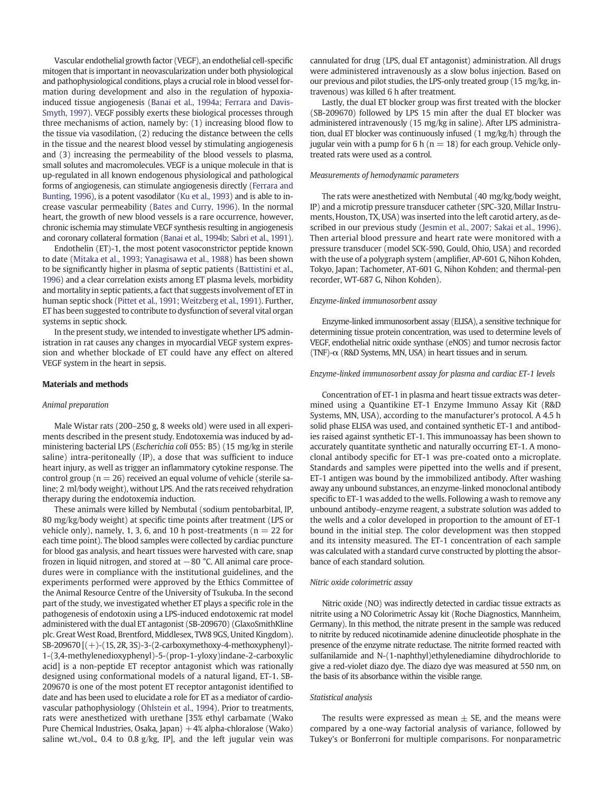Vascular endothelial growth factor (VEGF), an endothelial cell-specific mitogen that is important in neovascularization under both physiological and pathophysiological conditions, plays a crucial role in blood vessel formation during development and also in the regulation of hypoxiainduced tissue angiogenesis [\(Banai et al., 1994a; Ferrara and Davis-](#page-5-0)[Smyth, 1997](#page-5-0)). VEGF possibly exerts these biological processes through three mechanisms of action, namely by: (1) increasing blood flow to the tissue via vasodilation, (2) reducing the distance between the cells in the tissue and the nearest blood vessel by stimulating angiogenesis and (3) increasing the permeability of the blood vessels to plasma, small solutes and macromolecules. VEGF is a unique molecule in that is up-regulated in all known endogenous physiological and pathological forms of angiogenesis, can stimulate angiogenesis directly [\(Ferrara and](#page-6-0) [Bunting, 1996](#page-6-0)), is a potent vasodilator [\(Ku et al., 1993\)](#page-6-0) and is able to increase vascular permeability [\(Bates and Curry, 1996\)](#page-6-0). In the normal heart, the growth of new blood vessels is a rare occurrence, however, chronic ischemia may stimulate VEGF synthesis resulting in angiogenesis and coronary collateral formation [\(Banai et al., 1994b; Sabri et al., 1991](#page-5-0)).

Endothelin (ET)-1, the most potent vasoconstrictor peptide known to date ([Mitaka et al., 1993; Yanagisawa et al., 1988](#page-6-0)) has been shown to be significantly higher in plasma of septic patients ([Battistini et al.,](#page-6-0) [1996](#page-6-0)) and a clear correlation exists among ET plasma levels, morbidity and mortality in septic patients, a fact that suggests involvement of ET in human septic shock [\(Pittet et al., 1991; Weitzberg et al., 1991](#page-6-0)). Further, ET has been suggested to contribute to dysfunction of several vital organ systems in septic shock.

In the present study, we intended to investigate whether LPS administration in rat causes any changes in myocardial VEGF system expression and whether blockade of ET could have any effect on altered VEGF system in the heart in sepsis.

## Materials and methods

## Animal preparation

Male Wistar rats (200–250 g, 8 weeks old) were used in all experiments described in the present study. Endotoxemia was induced by administering bacterial LPS (Escherichia coli 055: B5) (15 mg/kg in sterile saline) intra-peritoneally (IP), a dose that was sufficient to induce heart injury, as well as trigger an inflammatory cytokine response. The control group ( $n = 26$ ) received an equal volume of vehicle (sterile saline; 2 ml/body weight), without LPS. And the rats received rehydration therapy during the endotoxemia induction.

These animals were killed by Nembutal (sodium pentobarbital, IP, 80 mg/kg/body weight) at specific time points after treatment (LPS or vehicle only), namely, 1, 3, 6, and 10 h post-treatments ( $n = 22$  for each time point). The blood samples were collected by cardiac puncture for blood gas analysis, and heart tissues were harvested with care, snap frozen in liquid nitrogen, and stored at −80 °C. All animal care procedures were in compliance with the institutional guidelines, and the experiments performed were approved by the Ethics Committee of the Animal Resource Centre of the University of Tsukuba. In the second part of the study, we investigated whether ET plays a specific role in the pathogenesis of endotoxin using a LPS-induced endotoxemic rat model administered with the dual ET antagonist (SB-209670) (GlaxoSmithKline plc. Great West Road, Brentford, Middlesex, TW8 9GS, United Kingdom). SB-209670 [(+)-(1S, 2R, 3S)-3-(2-carboxymethoxy-4-methoxyphenyl)- 1-(3,4-methylenedioxyphenyl)-5-(prop-1-yloxy)indane-2-carboxylic acid] is a non-peptide ET receptor antagonist which was rationally designed using conformational models of a natural ligand, ET-1. SB-209670 is one of the most potent ET receptor antagonist identified to date and has been used to elucidate a role for ET as a mediator of cardiovascular pathophysiology [\(Ohlstein et al., 1994](#page-6-0)). Prior to treatments, rats were anesthetized with urethane [35% ethyl carbamate (Wako Pure Chemical Industries, Osaka, Japan) +4% alpha-chloralose (Wako) saline wt./vol., 0.4 to 0.8  $g/kg$ , IP], and the left jugular vein was

cannulated for drug (LPS, dual ET antagonist) administration. All drugs were administered intravenously as a slow bolus injection. Based on our previous and pilot studies, the LPS-only treated group (15 mg/kg, intravenous) was killed 6 h after treatment.

Lastly, the dual ET blocker group was first treated with the blocker (SB-209670) followed by LPS 15 min after the dual ET blocker was administered intravenously (15 mg/kg in saline). After LPS administration, dual ET blocker was continuously infused (1 mg/kg/h) through the jugular vein with a pump for 6 h ( $n = 18$ ) for each group. Vehicle onlytreated rats were used as a control.

#### Measurements of hemodynamic parameters

The rats were anesthetized with Nembutal (40 mg/kg/body weight, IP) and a microtip pressure transducer catheter (SPC-320, Millar Instruments, Houston, TX, USA) was inserted into the left carotid artery, as described in our previous study [\(Jesmin et al., 2007; Sakai et al., 1996](#page-6-0)). Then arterial blood pressure and heart rate were monitored with a pressure transducer (model SCK-590, Gould, Ohio, USA) and recorded with the use of a polygraph system (amplifier, AP-601 G, Nihon Kohden, Tokyo, Japan; Tachometer, AT-601 G, Nihon Kohden; and thermal-pen recorder, WT-687 G, Nihon Kohden).

## Enzyme-linked immunosorbent assay

Enzyme-linked immunosorbent assay (ELISA), a sensitive technique for determining tissue protein concentration, was used to determine levels of VEGF, endothelial nitric oxide synthase (eNOS) and tumor necrosis factor (TNF)- $\alpha$  (R&D Systems, MN, USA) in heart tissues and in serum.

## Enzyme-linked immunosorbent assay for plasma and cardiac ET-1 levels

Concentration of ET-1 in plasma and heart tissue extracts was determined using a Quantikine ET-1 Enzyme Immuno Assay Kit (R&D Systems, MN, USA), according to the manufacturer's protocol. A 4.5 h solid phase ELISA was used, and contained synthetic ET-1 and antibodies raised against synthetic ET-1. This immunoassay has been shown to accurately quantitate synthetic and naturally occurring ET-1. A monoclonal antibody specific for ET-1 was pre-coated onto a microplate. Standards and samples were pipetted into the wells and if present, ET-1 antigen was bound by the immobilized antibody. After washing away any unbound substances, an enzyme-linked monoclonal antibody specific to ET-1 was added to the wells. Following a wash to remove any unbound antibody–enzyme reagent, a substrate solution was added to the wells and a color developed in proportion to the amount of ET-1 bound in the initial step. The color development was then stopped and its intensity measured. The ET-1 concentration of each sample was calculated with a standard curve constructed by plotting the absorbance of each standard solution.

## Nitric oxide colorimetric assay

Nitric oxide (NO) was indirectly detected in cardiac tissue extracts as nitrite using a NO Colorimetric Assay kit (Roche Diagnostics, Mannheim, Germany). In this method, the nitrate present in the sample was reduced to nitrite by reduced nicotinamide adenine dinucleotide phosphate in the presence of the enzyme nitrate reductase. The nitrite formed reacted with sulfanilamide and N-(1-naphthyl)ethylenediamine dihydrochloride to give a red-violet diazo dye. The diazo dye was measured at 550 nm, on the basis of its absorbance within the visible range.

## Statistical analysis

The results were expressed as mean  $\pm$  SE, and the means were compared by a one-way factorial analysis of variance, followed by Tukey's or Bonferroni for multiple comparisons. For nonparametric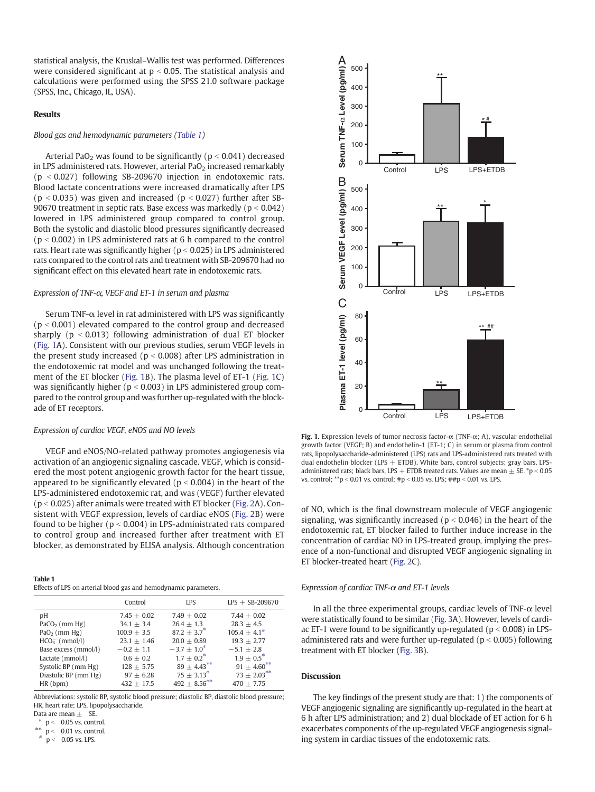statistical analysis, the Kruskal–Wallis test was performed. Differences were considered significant at  $p < 0.05$ . The statistical analysis and calculations were performed using the SPSS 21.0 software package (SPSS, Inc., Chicago, IL, USA).

## Results

## Blood gas and hemodynamic parameters (Table 1)

Arterial PaO<sub>2</sub> was found to be significantly ( $p < 0.041$ ) decreased in LPS administered rats. However, arterial  $PaO<sub>2</sub>$  increased remarkably  $(p < 0.027)$  following SB-209670 injection in endotoxemic rats. Blood lactate concentrations were increased dramatically after LPS ( $p < 0.035$ ) was given and increased ( $p < 0.027$ ) further after SB-90670 treatment in septic rats. Base excess was markedly ( $p < 0.042$ ) lowered in LPS administered group compared to control group. Both the systolic and diastolic blood pressures significantly decreased  $(p < 0.002)$  in LPS administered rats at 6 h compared to the control rats. Heart rate was significantly higher ( $p < 0.025$ ) in LPS administered rats compared to the control rats and treatment with SB-209670 had no significant effect on this elevated heart rate in endotoxemic rats.

## Expression of TNF-α, VEGF and ET-1 in serum and plasma

Serum TNF- $\alpha$  level in rat administered with LPS was significantly  $(p < 0.001)$  elevated compared to the control group and decreased sharply ( $p < 0.013$ ) following administration of dual ET blocker (Fig. 1A). Consistent with our previous studies, serum VEGF levels in the present study increased ( $p < 0.008$ ) after LPS administration in the endotoxemic rat model and was unchanged following the treatment of the ET blocker (Fig. 1B). The plasma level of ET-1 (Fig. 1C) was significantly higher ( $p < 0.003$ ) in LPS administered group compared to the control group and was further up-regulated with the blockade of ET receptors.

## Expression of cardiac VEGF, eNOS and NO levels

VEGF and eNOS/NO-related pathway promotes angiogenesis via activation of an angiogenic signaling cascade. VEGF, which is considered the most potent angiogenic growth factor for the heart tissue, appeared to be significantly elevated ( $p < 0.004$ ) in the heart of the LPS-administered endotoxemic rat, and was (VEGF) further elevated  $(p < 0.025)$  after animals were treated with ET blocker ([Fig. 2A](#page-4-0)). Consistent with VEGF expression, levels of cardiac eNOS ([Fig. 2](#page-4-0)B) were found to be higher ( $p < 0.004$ ) in LPS-administrated rats compared to control group and increased further after treatment with ET blocker, as demonstrated by ELISA analysis. Although concentration

### Table 1

Effects of LPS on arterial blood gas and hemodynamic parameters.

|                      | Control         | LPS               | $LPS + SB-209670$  |
|----------------------|-----------------|-------------------|--------------------|
| рH                   | $7.45 \pm 0.02$ | $7.49 + 0.02$     | $7.44 + 0.02$      |
| $PaCO2$ (mm Hg)      | $34.1 + 3.4$    | $26.4 + 1.3$      | $28.3 + 4.5$       |
| $PaO2$ (mm Hg)       | $100.9 + 3.5$   | $87.2 + 3.7^*$    | $105.4 + 4.1^{\#}$ |
| $HCO3-$ (mmol/l)     | $23.1 + 1.46$   | $20.0 + 0.89$     | $19.3 + 2.77$      |
| Base excess (mmol/l) | $-0.2 + 1.1$    | $-3.7 + 1.0^*$    | $-5.1 + 2.8$       |
| Lactate (mmol/l)     | $0.6 + 0.2$     | $1.7 + 0.2^*$     | $1.9 + 0.5^*$      |
| Systolic BP (mm Hg)  | $128 + 5.75$    | $89 \pm 4.43$ **  | $91 + 4.60$ **     |
| Diastolic BP (mm Hg) | $97 + 6.28$     | $75 \pm 3.13^*$   | $73 \pm 2.03***$   |
| HR(bpm)              | $432 + 17.5$    | $492 \pm 8.56***$ | $470 + 7.75$       |

Abbreviations: systolic BP, systolic blood pressure; diastolic BP, diastolic blood pressure; HR, heart rate; LPS, lipopolysaccharide.

Data are mean  $\pm$  SE.

 $p < 0.05$  vs. control.

\*\*  $\overrightarrow{p}$  < 0.01 vs. control.

 $p < 0.05$  vs. LPS.



Fig. 1. Expression levels of tumor necrosis factor- $\alpha$  (TNF- $\alpha$ ; A), vascular endothelial growth factor (VEGF; B) and endothelin-1 (ET-1; C) in serum or plasma from control rats, lipopolysaccharide-administered (LPS) rats and LPS-administered rats treated with dual endothelin blocker (LPS  $+$  ETDB). White bars, control subjects; gray bars, LPSadministered rats; black bars, LPS + ETDB treated rats. Values are mean  $\pm$  SE. \*p < 0.05 vs. control; \*\*p < 0.01 vs. control; #p < 0.05 vs. LPS; ##p < 0.01 vs. LPS.

of NO, which is the final downstream molecule of VEGF angiogenic signaling, was significantly increased ( $p < 0.046$ ) in the heart of the endotoxemic rat, ET blocker failed to further induce increase in the concentration of cardiac NO in LPS-treated group, implying the presence of a non-functional and disrupted VEGF angiogenic signaling in ET blocker-treated heart ([Fig. 2](#page-4-0)C).

## Expression of cardiac TNF- $\alpha$  and ET-1 levels

In all the three experimental groups, cardiac levels of TNF- $\alpha$  level were statistically found to be similar [\(Fig. 3](#page-4-0)A). However, levels of cardiac ET-1 were found to be significantly up-regulated ( $p < 0.008$ ) in LPSadministered rats and were further up-regulated ( $p < 0.005$ ) following treatment with ET blocker [\(Fig. 3](#page-4-0)B).

## **Discussion**

The key findings of the present study are that: 1) the components of VEGF angiogenic signaling are significantly up-regulated in the heart at 6 h after LPS administration; and 2) dual blockade of ET action for 6 h exacerbates components of the up-regulated VEGF angiogenesis signaling system in cardiac tissues of the endotoxemic rats.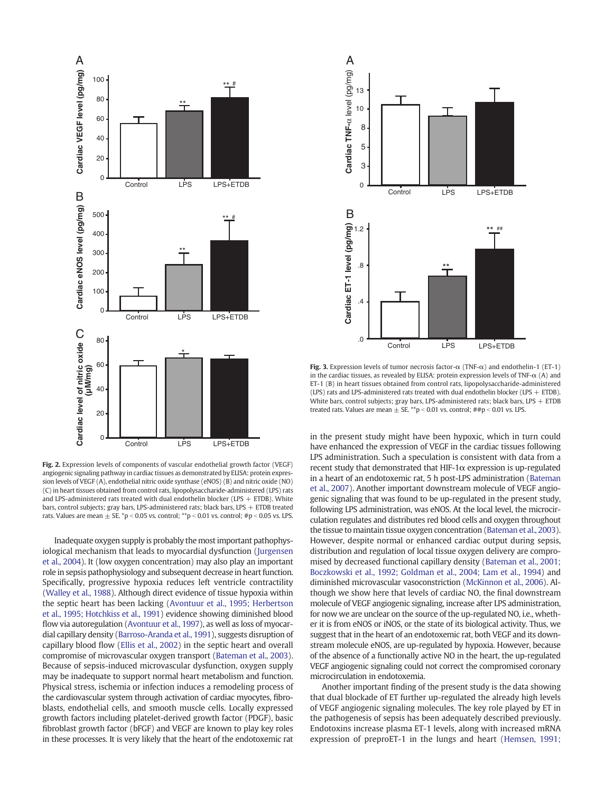<span id="page-4-0"></span>

Fig. 2. Expression levels of components of vascular endothelial growth factor (VEGF) angiogenic signaling pathway in cardiac tissues as demonstrated by ELISA: protein expression levels of VEGF (A), endothelial nitric oxide synthase (eNOS) (B) and nitric oxide (NO) (C) in heart tissues obtained from control rats, lipopolysaccharide-administered (LPS) rats and LPS-administered rats treated with dual endothelin blocker (LPS  $+$  ETDB). White bars, control subjects; gray bars, LPS-administered rats; black bars, LPS  $+$  ETDB treated rats. Values are mean  $\pm$  SE. \*p < 0.05 vs. control; \*\*p < 0.01 vs. control; #p < 0.05 vs. LPS.

Inadequate oxygen supply is probably the most important pathophysiological mechanism that leads to myocardial dysfunction ([Jurgensen](#page-6-0) [et al., 2004\)](#page-6-0). It (low oxygen concentration) may also play an important role in sepsis pathophysiology and subsequent decrease in heart function. Specifically, progressive hypoxia reduces left ventricle contractility [\(Walley et al., 1988](#page-6-0)). Although direct evidence of tissue hypoxia within the septic heart has been lacking [\(Avontuur et al., 1995; Herbertson](#page-5-0) [et al., 1995; Hotchkiss et al., 1991](#page-5-0)) evidence showing diminished blood flow via autoregulation [\(Avontuur et al., 1997\)](#page-5-0), as well as loss of myocardial capillary density [\(Barroso-Aranda et al., 1991](#page-5-0)), suggests disruption of capillary blood flow ([Ellis et al., 2002](#page-6-0)) in the septic heart and overall compromise of microvascular oxygen transport [\(Bateman et al., 2003](#page-6-0)). Because of sepsis-induced microvascular dysfunction, oxygen supply may be inadequate to support normal heart metabolism and function. Physical stress, ischemia or infection induces a remodeling process of the cardiovascular system through activation of cardiac myocytes, fibroblasts, endothelial cells, and smooth muscle cells. Locally expressed growth factors including platelet-derived growth factor (PDGF), basic fibroblast growth factor (bFGF) and VEGF are known to play key roles in these processes. It is very likely that the heart of the endotoxemic rat



Fig. 3. Expression levels of tumor necrosis factor- $\alpha$  (TNF- $\alpha$ ) and endothelin-1 (ET-1) in the cardiac tissues, as revealed by ELISA: protein expression levels of TNF- $\alpha$  (A) and ET-1 (B) in heart tissues obtained from control rats, lipopolysaccharide-administered (LPS) rats and LPS-administered rats treated with dual endothelin blocker (LPS  $+$  ETDB). White bars, control subjects; gray bars, LPS-administered rats; black bars, LPS  $+$  ETDB treated rats. Values are mean  $\pm$  SE. \*\*p < 0.01 vs. control; ##p < 0.01 vs. LPS.

in the present study might have been hypoxic, which in turn could have enhanced the expression of VEGF in the cardiac tissues following LPS administration. Such a speculation is consistent with data from a recent study that demonstrated that HIF-1 $\alpha$  expression is up-regulated in a heart of an endotoxemic rat, 5 h post-LPS administration [\(Bateman](#page-6-0) [et al., 2007\)](#page-6-0). Another important downstream molecule of VEGF angiogenic signaling that was found to be up-regulated in the present study, following LPS administration, was eNOS. At the local level, the microcirculation regulates and distributes red blood cells and oxygen throughout the tissue to maintain tissue oxygen concentration ([Bateman et al., 2003](#page-6-0)). However, despite normal or enhanced cardiac output during sepsis, distribution and regulation of local tissue oxygen delivery are compromised by decreased functional capillary density [\(Bateman et al., 2001;](#page-5-0) [Boczkowski et al., 1992; Goldman et al., 2004; Lam et al., 1994\)](#page-5-0) and diminished microvascular vasoconstriction ([McKinnon et al., 2006\)](#page-6-0). Although we show here that levels of cardiac NO, the final downstream molecule of VEGF angiogenic signaling, increase after LPS administration, for now we are unclear on the source of the up-regulated NO, i.e., whether it is from eNOS or iNOS, or the state of its biological activity. Thus, we suggest that in the heart of an endotoxemic rat, both VEGF and its downstream molecule eNOS, are up-regulated by hypoxia. However, because of the absence of a functionally active NO in the heart, the up-regulated VEGF angiogenic signaling could not correct the compromised coronary microcirculation in endotoxemia.

Another important finding of the present study is the data showing that dual blockade of ET further up-regulated the already high levels of VEGF angiogenic signaling molecules. The key role played by ET in the pathogenesis of sepsis has been adequately described previously. Endotoxins increase plasma ET-1 levels, along with increased mRNA expression of preproET-1 in the lungs and heart ([Hemsen, 1991;](#page-6-0)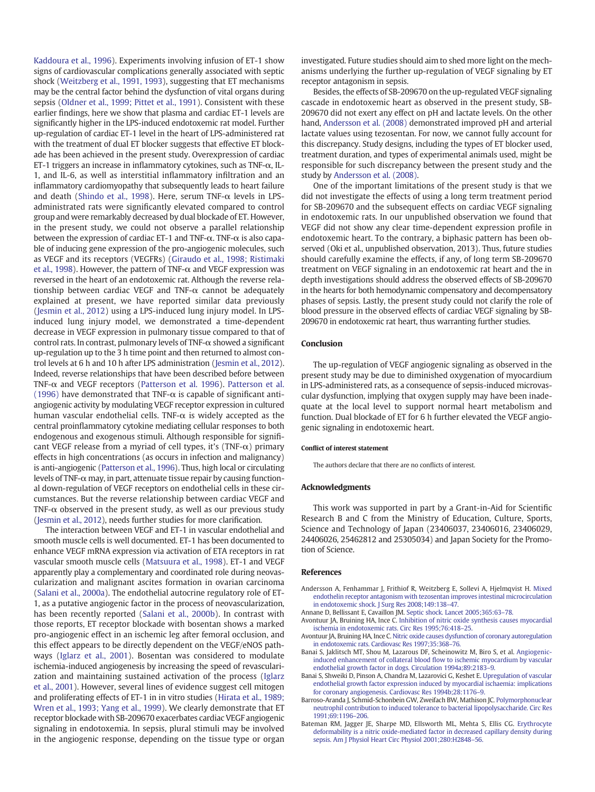<span id="page-5-0"></span>[Kaddoura et al., 1996\)](#page-6-0). Experiments involving infusion of ET-1 show signs of cardiovascular complications generally associated with septic shock [\(Weitzberg et al., 1991, 1993\)](#page-6-0), suggesting that ET mechanisms may be the central factor behind the dysfunction of vital organs during sepsis ([Oldner et al., 1999; Pittet et al., 1991](#page-6-0)). Consistent with these earlier findings, here we show that plasma and cardiac ET-1 levels are significantly higher in the LPS-induced endotoxemic rat model. Further up-regulation of cardiac ET-1 level in the heart of LPS-administered rat with the treatment of dual ET blocker suggests that effective ET blockade has been achieved in the present study. Overexpression of cardiac ET-1 triggers an increase in inflammatory cytokines, such as TNF- $\alpha$ , IL-1, and IL-6, as well as interstitial inflammatory infiltration and an inflammatory cardiomyopathy that subsequently leads to heart failure and death [\(Shindo et al., 1998\)](#page-6-0). Here, serum TNF-α levels in LPSadministrated rats were significantly elevated compared to control group and were remarkably decreased by dual blockade of ET. However, in the present study, we could not observe a parallel relationship between the expression of cardiac ET-1 and TNF-α. TNF-α is also capable of inducing gene expression of the pro-angiogenic molecules, such as VEGF and its receptors (VEGFRs) ([Giraudo et al., 1998; Ristimaki](#page-6-0) [et al., 1998\)](#page-6-0). However, the pattern of TNF- $\alpha$  and VEGF expression was reversed in the heart of an endotoxemic rat. Although the reverse relationship between cardiac VEGF and TNF- $\alpha$  cannot be adequately explained at present, we have reported similar data previously [\(Jesmin et al., 2012](#page-6-0)) using a LPS-induced lung injury model. In LPSinduced lung injury model, we demonstrated a time-dependent decrease in VEGF expression in pulmonary tissue compared to that of control rats. In contrast, pulmonary levels of TNF-α showed a significant up-regulation up to the 3 h time point and then returned to almost control levels at 6 h and 10 h after LPS administration [\(Jesmin et al., 2012\)](#page-6-0). Indeed, reverse relationships that have been described before between TNF-α and VEGF receptors [\(Patterson et al. 1996\)](#page-6-0). [Patterson et al.](#page-6-0) [\(1996\)](#page-6-0) have demonstrated that TNF- $\alpha$  is capable of significant antiangiogenic activity by modulating VEGF receptor expression in cultured human vascular endothelial cells. TNF- $\alpha$  is widely accepted as the central proinflammatory cytokine mediating cellular responses to both endogenous and exogenous stimuli. Although responsible for significant VEGF release from a myriad of cell types, it's (TNF- $\alpha$ ) primary effects in high concentrations (as occurs in infection and malignancy) is anti-angiogenic [\(Patterson et al., 1996\)](#page-6-0). Thus, high local or circulating levels of TNF- $\alpha$  may, in part, attenuate tissue repair by causing functional down-regulation of VEGF receptors on endothelial cells in these circumstances. But the reverse relationship between cardiac VEGF and TNF- $\alpha$  observed in the present study, as well as our previous study [\(Jesmin et al., 2012\)](#page-6-0), needs further studies for more clarification.

The interaction between VEGF and ET-1 in vascular endothelial and smooth muscle cells is well documented. ET-1 has been documented to enhance VEGF mRNA expression via activation of ETA receptors in rat vascular smooth muscle cells ([Matsuura et al., 1998\)](#page-6-0). ET-1 and VEGF apparently play a complementary and coordinated role during neovascularization and malignant ascites formation in ovarian carcinoma [\(Salani et al., 2000a\)](#page-6-0). The endothelial autocrine regulatory role of ET-1, as a putative angiogenic factor in the process of neovascularization, has been recently reported ([Salani et al., 2000b](#page-6-0)). In contrast with those reports, ET receptor blockade with bosentan shows a marked pro-angiogenic effect in an ischemic leg after femoral occlusion, and this effect appears to be directly dependent on the VEGF/eNOS pathways [\(Iglarz et al., 2001](#page-6-0)). Bosentan was considered to modulate ischemia-induced angiogenesis by increasing the speed of revascularization and maintaining sustained activation of the process [\(Iglarz](#page-6-0) [et al., 2001\)](#page-6-0). However, several lines of evidence suggest cell mitogen and proliferating effects of ET-1 in in vitro studies [\(Hirata et al., 1989;](#page-6-0) [Wren et al., 1993; Yang et al., 1999\)](#page-6-0). We clearly demonstrate that ET receptor blockade with SB-209670 exacerbates cardiac VEGF angiogenic signaling in endotoxemia. In sepsis, plural stimuli may be involved in the angiogenic response, depending on the tissue type or organ investigated. Future studies should aim to shed more light on the mechanisms underlying the further up-regulation of VEGF signaling by ET receptor antagonism in sepsis.

Besides, the effects of SB-209670 on the up-regulated VEGF signaling cascade in endotoxemic heart as observed in the present study, SB-209670 did not exert any effect on pH and lactate levels. On the other hand, Andersson et al. (2008) demonstrated improved pH and arterial lactate values using tezosentan. For now, we cannot fully account for this discrepancy. Study designs, including the types of ET blocker used, treatment duration, and types of experimental animals used, might be responsible for such discrepancy between the present study and the study by Andersson et al. (2008).

One of the important limitations of the present study is that we did not investigate the effects of using a long term treatment period for SB-209670 and the subsequent effects on cardiac VEGF signaling in endotoxemic rats. In our unpublished observation we found that VEGF did not show any clear time-dependent expression profile in endotoxemic heart. To the contrary, a biphasic pattern has been observed (Oki et al., unpublished observation, 2013). Thus, future studies should carefully examine the effects, if any, of long term SB-209670 treatment on VEGF signaling in an endotoxemic rat heart and the in depth investigations should address the observed effects of SB-209670 in the hearts for both hemodynamic compensatory and decompensatory phases of sepsis. Lastly, the present study could not clarify the role of blood pressure in the observed effects of cardiac VEGF signaling by SB-209670 in endotoxemic rat heart, thus warranting further studies.

## Conclusion

The up-regulation of VEGF angiogenic signaling as observed in the present study may be due to diminished oxygenation of myocardium in LPS-administered rats, as a consequence of sepsis-induced microvascular dysfunction, implying that oxygen supply may have been inadequate at the local level to support normal heart metabolism and function. Dual blockade of ET for 6 h further elevated the VEGF angiogenic signaling in endotoxemic heart.

#### Conflict of interest statement

The authors declare that there are no conflicts of interest.

## Acknowledgments

This work was supported in part by a Grant-in-Aid for Scientific Research B and C from the Ministry of Education, Culture, Sports, Science and Technology of Japan (23406037, 23406016, 23406029, 24406026, 25462812 and 25305034) and Japan Society for the Promotion of Science.

## **References**

- Andersson A, Fenhammar J, Frithiof R, Weitzberg E, Sollevi A, Hjelmqvist H. [Mixed](http://refhub.elsevier.com/S0024-3205(14)00238-0/rf0005) [endothelin receptor antagonism with tezosentan improves intestinal microcirculation](http://refhub.elsevier.com/S0024-3205(14)00238-0/rf0005) [in endotoxemic shock. J Surg Res 2008;149:138](http://refhub.elsevier.com/S0024-3205(14)00238-0/rf0005)–47.
- Annane D, Bellissant E, Cavaillon JM. [Septic shock. Lancet 2005;365:63](http://refhub.elsevier.com/S0024-3205(14)00238-0/rf0010)–78.
- Avontuur JA, Bruining HA, Ince C. [Inhibition of nitric oxide synthesis causes myocardial](http://refhub.elsevier.com/S0024-3205(14)00238-0/rf0015) [ischemia in endotoxemic rats. Circ Res 1995;76:418](http://refhub.elsevier.com/S0024-3205(14)00238-0/rf0015)–25.
- Avontuur JA, Bruining HA, Ince C. [Nitric oxide causes dysfunction of coronary autoregulation](http://refhub.elsevier.com/S0024-3205(14)00238-0/rf0020) [in endotoxemic rats. Cardiovasc Res 1997;35:368](http://refhub.elsevier.com/S0024-3205(14)00238-0/rf0020)–76.
- Banai S, Jaklitsch MT, Shou M, Lazarous DF, Scheinowitz M, Biro S, et al. [Angiogenic](http://refhub.elsevier.com/S0024-3205(14)00238-0/rf0025)[induced enhancement of collateral blood](http://refhub.elsevier.com/S0024-3205(14)00238-0/rf0025) flow to ischemic myocardium by vascular [endothelial growth factor in dogs. Circulation 1994a;89:2183](http://refhub.elsevier.com/S0024-3205(14)00238-0/rf0025)–9.
- Banai S, Shweiki D, Pinson A, Chandra M, Lazarovici G, Keshet E. [Upregulation of vascular](http://refhub.elsevier.com/S0024-3205(14)00238-0/rf0030) [endothelial growth factor expression induced by myocardial ischaemia: implications](http://refhub.elsevier.com/S0024-3205(14)00238-0/rf0030) [for coronary angiogenesis. Cardiovasc Res 1994b;28:1176](http://refhub.elsevier.com/S0024-3205(14)00238-0/rf0030)–9.
- Barroso-Aranda J, Schmid-Schonbein GW, Zweifach BW, Mathison JC. [Polymorphonuclear](http://refhub.elsevier.com/S0024-3205(14)00238-0/rf0035) [neutrophil contribution to induced tolerance to bacterial lipopolysaccharide. Circ Res](http://refhub.elsevier.com/S0024-3205(14)00238-0/rf0035) [1991;69:1196](http://refhub.elsevier.com/S0024-3205(14)00238-0/rf0035)–206.
- Bateman RM, Jagger JE, Sharpe MD, Ellsworth ML, Mehta S, Ellis CG. [Erythrocyte](http://refhub.elsevier.com/S0024-3205(14)00238-0/rf0040) [deformability is a nitric oxide-mediated factor in decreased capillary density during](http://refhub.elsevier.com/S0024-3205(14)00238-0/rf0040) [sepsis. Am J Physiol Heart Circ Physiol 2001;280:H2848](http://refhub.elsevier.com/S0024-3205(14)00238-0/rf0040)–56.